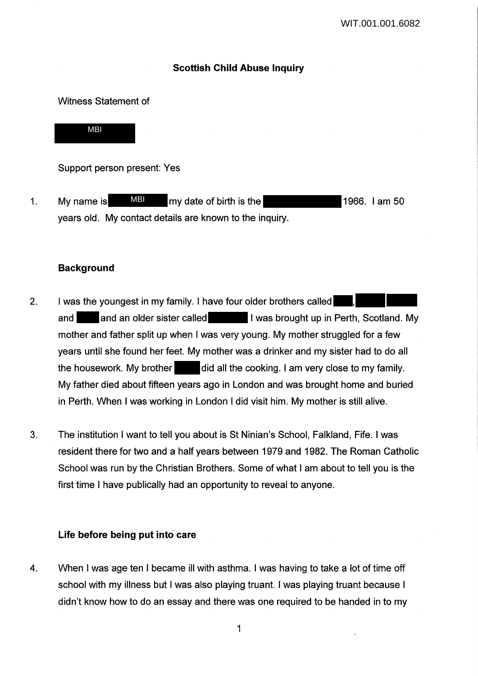## **Scottish Child Abuse Inquiry**

### Witness Statement of

MBI

Support person present: Yes

1. My name is MBI my date of birth is the 1966. I am 50 years old. My contact details are known to the inquiry.

## **Background**

- 2. I was the youngest in my family. I have four older brothers called and and an older sister called I was brought up in Perth, Scotland. My mother and father split up when I was very young. My mother struggled for a few years until she found her feet. My mother was a drinker and my sister had to do all the housework. My brother did all the cooking. I am very close to my family. My father died about fifteen years ago in London and was brought home and buried in Perth. When I was working in London I did visit him. My mother is still alive.
- 3. The institution I want to tell you about is St Ninian's School, Falkland, Fife. I was resident there for two and a half years between 1979 and 1982. The Roman Catholic School was run by the Christian Brothers. Some of what I am about to tell you is the first time I have publically had an opportunity to reveal to anyone.

## Life before being put into care

4. When I was age ten I became ill with asthma. I was having to take a lot of time off school with my illness but I was also playing truant. I was playing truant because I didn't know how to do an essay and there was one required to be handed in to my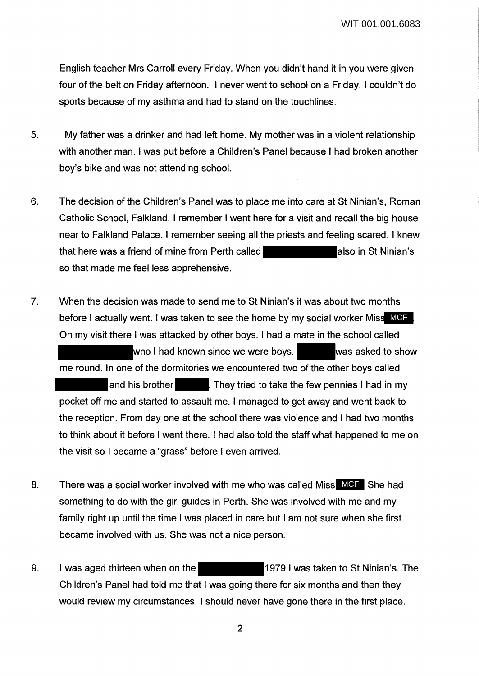English teacher Mrs Carroll every Friday. When you didn't hand it in you were given four of the belt on Friday afternoon. I never went to school on a Friday. I couldn't do sports because of my asthma and had to stand on the touchlines.

- 5. My father was a drinker and had left home. My mother was in a violent relationship with another man. I was put before a Children's Panel because I had broken another boy's bike and was not attending school.
- 6. The decision of the Children's Panel was to place me into care at St Ninian's, Roman Catholic School, Falkland. I remember I went here for a visit and recall the big house near to Falkland Palace. I remember seeing all the priests and feeling scared. I knew that here was a friend of mine from Perth called **also also in St Ninian's** so that made me feel less apprehensive.
- 7. When the decision was made to send me to St Ninian's it was about two months before I actually went. I was taken to see the home by my social worker Miss MCF On my visit there I was attacked by other boys. I had a mate in the school called who I had known since we were boys. The was asked to show me round. In one of the dormitories we encountered two of the other boys called and his brother They tried to take the few pennies I had in my pocket off me and started to assault me. I managed to get away and went back to the reception. From day one at the school there was violence and I had two months to think about it before I went there. I had also told the staff what happened to me on the visit so I became a "grass" before I even arrived.
- 8. There was a social worker involved with me who was called Miss MCF She had something to do with the girl guides in Perth. She was involved with me and my family right up until the time I was placed in care but I am not sure when she first became involved with us. She was not a nice person.
- 9. I was aged thirteen when on the 1979 I was taken to St Ninian's. The Children's Panel had told me that I was going there for six months and then they would review my circumstances. I should never have gone there in the first place.

2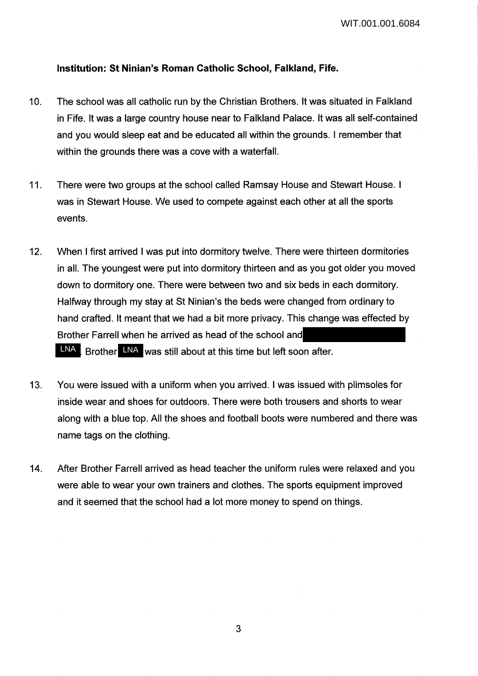## **Institution: St Ninian's Roman Catholic School, Falkland, Fife.**

- 10. The school was all catholic run by the Christian Brothers. It was situated in Falkland in Fife. It was a large country house near to Falkland Palace. It was all self-contained and you would sleep eat and be educated all within the grounds. I remember that within the grounds there was a cove with a waterfall.
- 11. There were two groups at the school called Ramsay House and Stewart House. I was in Stewart House. We used to compete against each other at all the sports events.
- 12. When I first arrived I was put into dormitory twelve. There were thirteen dormitories in all. The youngest were put into dormitory thirteen and as you got older you moved down to dormitory one. There were between two and six beds in each dormitory. Halfway through my stay at St Ninian's the beds were changed from ordinary to hand crafted. It meant that we had a bit more privacy. This change was effected by Brother Farrell when he arrived as head of the school and LNA. Brother LNA was still about at this time but left soon after.
- 13. You were issued with a uniform when you arrived. I was issued with plimsoles for inside wear and shoes for outdoors. There were both trousers and shorts to wear along with a blue top. All the shoes and football boots were numbered and there was name tags on the clothing.
- 14. After Brother Farrell arrived as head teacher the uniform rules were relaxed and you were able to wear your own trainers and clothes. The sports equipment improved and it seemed that the school had a lot more money to spend on things.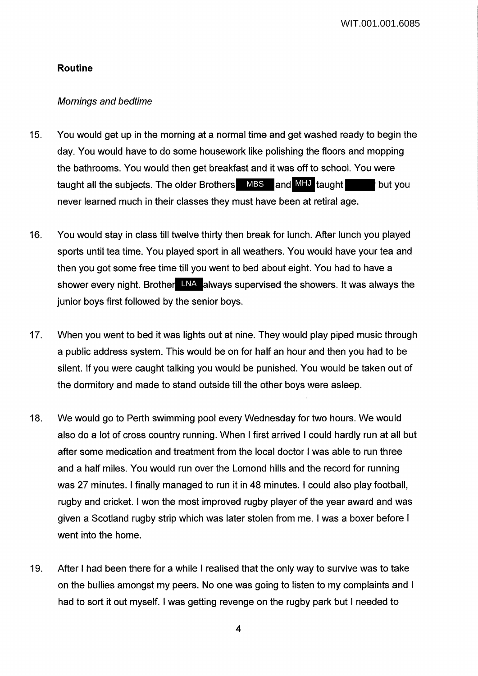WIT.001.001.6085

#### **Routine**

### Mornings and bedtime

- 15. You would get up in the morning at a normal time and get washed ready to begin the day. You would have to do some housework like polishing the floors and mopping the bathrooms. You would then get breakfast and it was off to school. You were taught all the subjects. The older Brothers MBS and MHJ taught but you never learned much in their classes they must have been at retiral age.
- 16. You would stay in class till twelve thirty then break for lunch. After lunch you played sports until tea time. You played sport in all weathers. You would have your tea and then you got some free time till you went to bed about eight. You had to have a shower every night. Brother LNA always supervised the showers. It was always the junior boys first followed by the senior boys.
- 17. When you went to bed it was lights out at nine. They would play piped music through a public address system. This would be on for half an hour and then you had to be silent. If you were caught talking you would be punished. You would be taken out of the dormitory and made to stand outside till the other boys were asleep.
- 18. We would go to Perth swimming pool every Wednesday for two hours. We would also do a lot of cross country running. When I first arrived I could hardly run at all but after some medication and treatment from the local doctor I was able to run three and a half miles. You would run over the Lomond hills and the record for running was 27 minutes. I finally managed to run it in 48 minutes. I could also play football, rugby and cricket. I won the most improved rugby player of the year award and was given a Scotland rugby strip which was later stolen from me. I was a boxer before I went into the home.
- 19. After I had been there for a while I realised that the only way to survive was to take on the bullies amongst my peers. No one was going to listen to my complaints and I had to sort it out myself. I was getting revenge on the rugby park but I needed to

4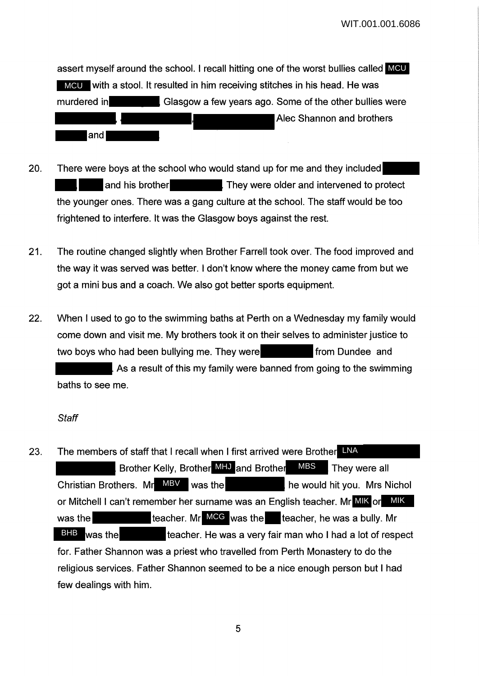assert myself around the school. I recall hitting one of the worst bullies called MCU MCU with a stool. It resulted in him receiving stitches in his head. He was murdered in Glasgow a few years ago. Some of the other builies were Alec Shannon and brothers **and** 

- 20. There were boys at the school who would stand up for me and they included and his brother They were older and intervened to protect the younger ones. There was a gang culture at the school. The staff would be too frightened to interfere. It was the Glasgow boys against the rest.
- 21. The routine changed slightly when Brother Farrell took over. The food improved and the way it was served was better. I don't know where the money came from but we got a mini bus and a coach. We also got better sports equipment.
- 22. When I used to go to the swimming baths at Perth on a Wednesday my family would come down and visit me. My brothers took it on their selves to administer justice to two boys who had been bullying me. They were **from Dundee** and As a result of this my family were banned from going to the swimming baths to see me.

#### **Staff**

23. The members of staff that I recall when I first arrived were Brother LNA Brother Kelly, Brother MHJ and Brother MBS They were all Christian Brothers. Mr MBV was the he would hit you. Mrs Nichol or Mitchell I can't remember her surname was an English teacher. Mr MIK or MIK was the teacher. Mr MCG was the teacher, he was a bully. Mr teacher. He was a very fair man who I had a lot of respect for. Father Shannon was a priest who travelled from Perth Monastery to do the religious services. Father Shannon seemed to be a nice enough person but I had few dealings with him. **BHB** was the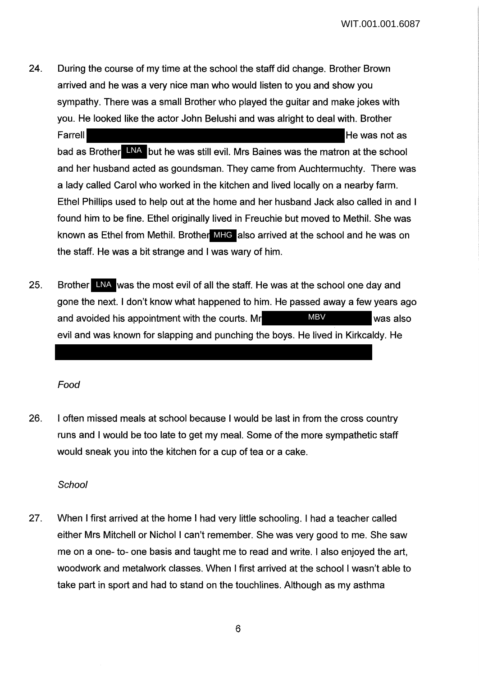24. During the course of my time at the school the staff did change. Brother Brown arrived and he was a very nice man who would listen to you and show you sympathy. There was a small Brother who played the guitar and make jokes with you. He looked like the actor John Belushi and was alright to deal with. Brother

Farrell **Farrell Farrell Farrell He was not as** bad as Brother LNA but he was still evil. Mrs Baines was the matron at the school and her husband acted as goundsman. They came from Auchtermuchty. There was a lady called Carol who worked in the kitchen and lived locally on a nearby farm. Ethel Phillips used to help out at the home and her husband Jack also called in and I found him to be fine. Ethel originally lived in Freuchie but moved to Methil. She was known as Ethel from Methil. Brother MHG also arrived at the school and he was on the staff. He was a bit strange and I was wary of him.

25. Brother LNA was the most evil of all the staff. He was at the school one day and gone the next. I don't know what happened to him. He passed away a few years ago and avoided his appointment with the courts. Mr WBV WAS also evil and was known for slapping and punching the boys. He lived in Kirkcaldy. He MBV

Food

26. I often missed meals at school because I would be last in from the cross country runs and I would be too late to get my meal. Some of the more sympathetic staff would sneak you into the kitchen for a cup of tea or a cake.

**School** 

27. When I first arrived at the home I had very little schooling. I had a teacher called either Mrs Mitchell or Nichol I can't remember. She was very good to me. She saw me on a one- to- one basis and taught me to read and write. I also enjoyed the art, woodwork and metalwork classes. When I first arrived at the school I wasn't able to take part in sport and had to stand on the touchlines. Although as my asthma

6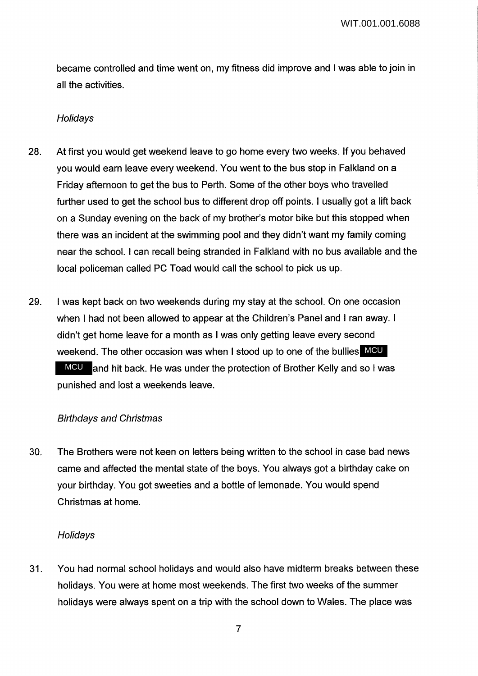became controlled and time went on, my fitness did improve and I was able to join in all the activities.

#### Holidays

- 28. At first you would get weekend leave to go home every two weeks. If you behaved you would earn leave every weekend. You went to the bus stop in Falkland on a Friday afternoon to get the bus to Perth. Some of the other boys who travelled further used to get the school bus to different drop off points. I usually got a lift back on a Sunday evening on the back of my brother's motor bike but this stopped when there was an incident at the swimming pool and they didn't want my family coming near the school. I can recall being stranded in Falkland with no bus available and the local policeman called PC Toad would call the school to pick us up.
- 29. I was kept back on two weekends during my stay at the school. On one occasion when I had not been allowed to appear at the Children's Panel and I ran away. I didn't get home leave for a month as I was only getting leave every second weekend. The other occasion was when I stood up to one of the bullies MCU MCU and hit back. He was under the protection of Brother Kelly and so I was punished and lost a weekends leave.

#### Birthdays and Christmas

30. The Brothers were not keen on letters being written to the school in case bad news came and affected the mental state of the boys. You always got a birthday cake on your birthday. You got sweeties and a bottle of lemonade. You would spend Christmas at home.

#### **Holidays**

31. You had normal school holidays and would also have midterm breaks between these holidays. You were at home most weekends. The first two weeks of the summer holidays were always spent on a trip with the school down to Wales. The place was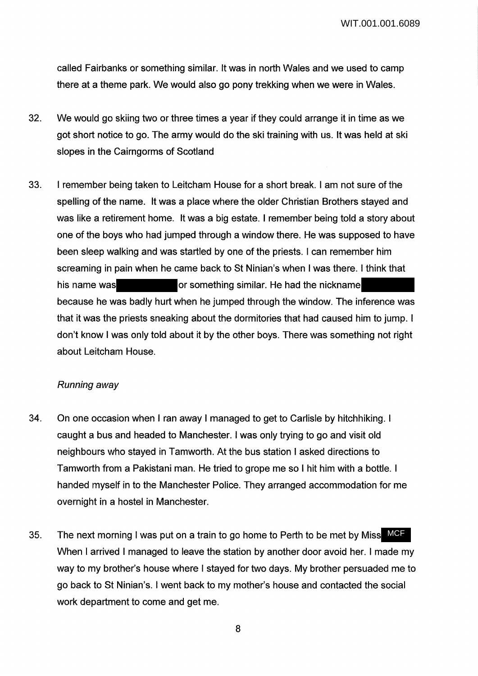called Fairbanks or something similar. It was in north Wales and we used to camp there at a theme park. We would also go pony trekking when we were in Wales.

- 32. We would go skiing two or three times a year if they could arrange it in time as we got short notice to go. The army would do the ski training with us. It was held at ski slopes in the Cairngorms of Scotland
- 33. I remember being taken to Leitcham House for a short break. I am not sure of the spelling of the name. It was a place where the older Christian Brothers stayed and was like a retirement home. It was a big estate. I remember being told a story about one of the boys who had jumped through a window there. He was supposed to have been sleep walking and was startled by one of the priests. I can remember him screaming in pain when he came back to St Ninian's when I was there. I think that his name was **or something similar.** He had the nickname because he was badly hurt when he jumped through the window. The inference was that it was the priests sneaking about the dormitories that had caused him to jump. I don't know I was only told about it by the other boys. There was something not right about Leitcham House.

## Running away

- 34. On one occasion when I ran away I managed to get to Carlisle by hitchhiking. I caught a bus and headed to Manchester. I was only trying to go and visit old neighbours who stayed in Tamworth. At the bus station I asked directions to Tamworth from a Pakistani man. He tried to grope me so I hit him with a bottle. I handed myself in to the Manchester Police. They arranged accommodation for me overnight in a hostel in Manchester.
- 35. The next morning I was put on a train to go home to Perth to be met by Miss MCF When I arrived I managed to leave the station by another door avoid her. I made my way to my brother's house where I stayed for two days. My brother persuaded me to go back to St Ninian's. I went back to my mother's house and contacted the social work department to come and get me.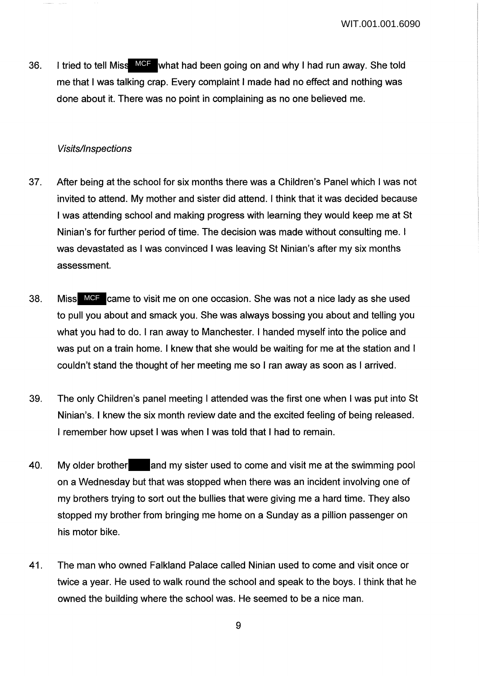36. I tried to tell Miss MCF what had been going on and why I had run away. She told me that I was talking crap. Every complaint I made had no effect and nothing was done about it. There was no point in complaining as no one believed me.

### **Visits/Inspections**

- 37. After being at the school for six months there was a Children's Panel which I was not invited to attend. My mother and sister did attend. I think that it was decided because I was attending school and making progress with learning they would keep me at St Ninian's for further period of time. The decision was made without consulting me. I was devastated as I was convinced I was leaving St Ninian's after my six months assessment.
- 38. Miss MCF came to visit me on one occasion. She was not a nice lady as she used to pull you about and smack you. She was always bossing you about and telling you what you had to do. I ran away to Manchester. I handed myself into the police and was put on a train home. I knew that she would be waiting for me at the station and I couldn't stand the thought of her meeting me so I ran away as soon as I arrived.
- 39. The only Children's panel meeting I attended was the first one when I was put into St Ninian's. I knew the six month review date and the excited feeling of being released. I remember how upset I was when I was told that I had to remain.
- 40. My older brother and my sister used to come and visit me at the swimming pool on a Wednesday but that was stopped when there was an incident involving one of my brothers trying to sort out the bullies that were giving me a hard time. They also stopped my brother from bringing me home on a Sunday as a pillion passenger on his motor bike.
- 41. The man who owned Falkland Palace called Ninian used to come and visit once or twice a year. He used to walk round the school and speak to the boys. I think that he owned the building where the school was. He seemed to be a nice man.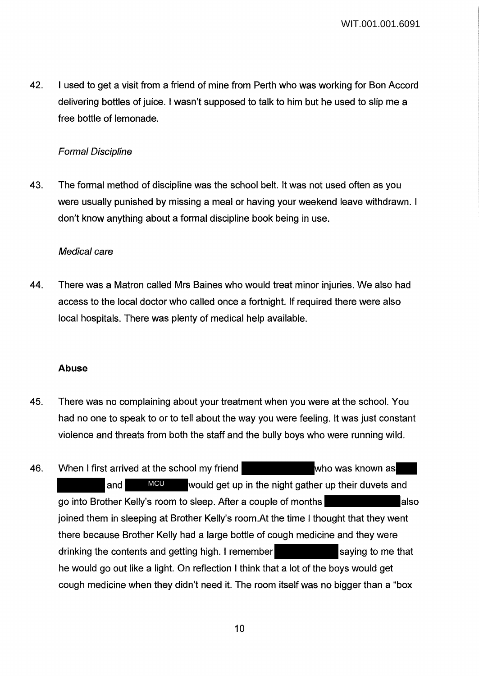42. I used to get a visit from a friend of mine from Perth who was working for Bon Accord delivering bottles of juice. I wasn't supposed to talk to him but he used to slip me a free bottle of lemonade.

## Formal Discipline

43. The formal method of discipline was the school belt. It was not used often as you were usually punished by missing a meal or having your weekend leave withdrawn. I don't know anything about a formal discipline book being in use.

### Medical care

44. There was a Matron called Mrs Baines who would treat minor injuries. We also had access to the local doctor who called once a fortnight. If required there were also local hospitals. There was plenty of medical help available.

## **Abuse**

- 45. There was no complaining about your treatment when you were at the school. You had no one to speak to or to tell about the way you were feeling. It was just constant violence and threats from both the staff and the bully boys who were running wild.
- 46. When I first arrived at the school my friend who was known as and MCU would get up in the night gather up their duvets and go into Brother Kelly's room to sleep. After a couple of months joined them in sleeping at Brother Kelly's room.At the time I thought that they went there because Brother Kelly had a large bottle of cough medicine and they were drinking the contents and getting high. I remember saying to me that he would go out like a light. On reflection I think that a lot of the boys would get cough medicine when they didn't need it. The room itself was no bigger than a "box **MCU**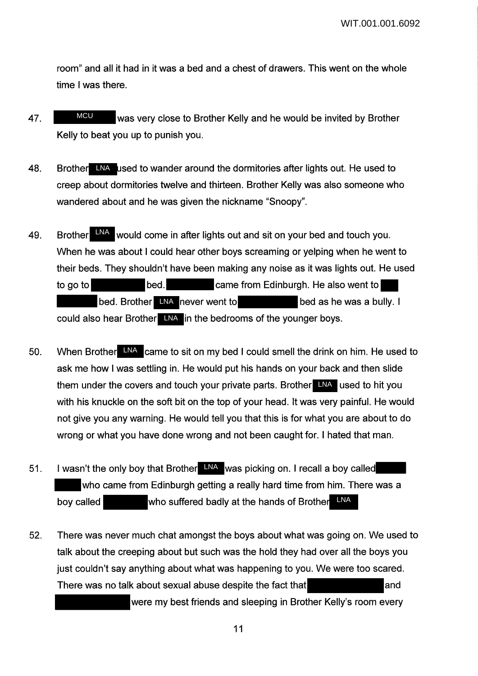room" and all it had in it was a bed and a chest of drawers. This went on the whole time I was there.

- 47. WHE WAS very close to Brother Kelly and he would be invited by Brother Kelly to beat you up to punish you. MCU
- 48. Brother LNA used to wander around the dormitories after lights out. He used to creep about dormitories twelve and thirteen. Brother Kelly was also someone who wandered about and he was given the nickname "Snoopy".
- 49. Brother **ENA** would come in after lights out and sit on your bed and touch you. When he was about I could hear other boys screaming or yelping when he went to their beds. They shouldn't have been making any noise as it was lights out. He used to go to bed. bed. came from Edinburgh. He also went to bed. Brother LNA never went to bed as he was a bully. I could also hear Brother LNA in the bedrooms of the younger boys.
- 50. When Brother LNA came to sit on my bed I could smell the drink on him. He used to ask me how I was settling in. He would put his hands on your back and then slide them under the covers and touch your private parts. Brother LNA used to hit you with his knuckle on the soft bit on the top of your head. It was very painful. He would not give you any warning. He would tell you that this is for what you are about to do wrong or what you have done wrong and not been caught for. I hated that man.
- 51. I wasn't the only boy that Brother LNA was picking on. I recall a boy called who came from Edinburgh getting a really hard time from him. There was a boy called **who suffered badly at the hands of Brother** LNA
- 52. There was never much chat amongst the boys about what was going on. We used to talk about the creeping about but such was the hold they had over all the boys you just couldn't say anything about what was happening to you. We were too scared. There was no talk about sexual abuse despite the fact that **and** and

were my best friends and sleeping in Brother Kelly's room every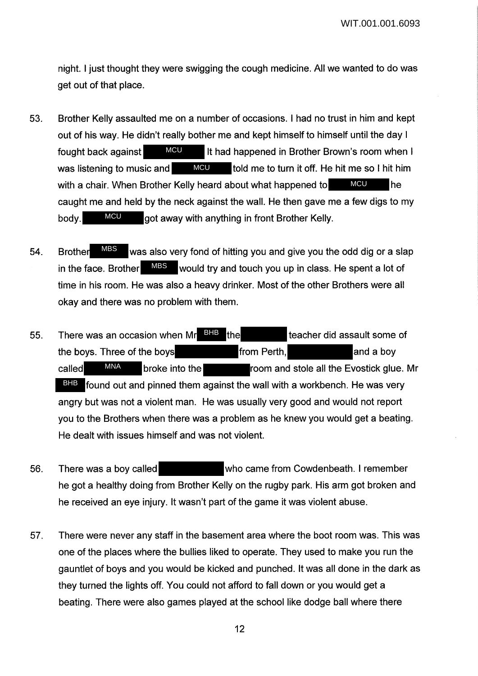night. I just thought they were swigging the cough medicine. All we wanted to do was get out of that place.

- 53. Brother Kelly assaulted me on a number of occasions. I had no trust in him and kept out of his way. He didn't really bother me and kept himself to himself until the day I fought back against MCU It had happened in Brother Brown's room when I was listening to music and  $\blacksquare$  MCU told me to turn it off. He hit me so I hit him with a chair. When Brother Kelly heard about what happened to **MCU** he caught me and held by the neck against the wall. He then gave me a few digs to my body. MCU got away with anything in front Brother Kelly. **MCU MCU MCU** MCU
- 54. Brother MBS was also very fond of hitting you and give you the odd dig or a slap in the face. Brother  $\blacksquare$  MBS would try and touch you up in class. He spent a lot of time in his room. He was also a heavy drinker. Most of the other Brothers were all okay and there was no problem with them. MBS
- 55. There was an occasion when  $Mr$   $\frac{BHB}{H}$  the teacher did assault some of the boys. Three of the boys from Perth, and a boy called MNA broke into the room and stole all the Evostick glue. Mr BHB found out and pinned them against the wall with a workbench. He was very angry but was not a violent man. He was usually very good and would not report you to the Brothers when there was a problem as he knew you would get a beating. He dealt with issues himself and was not violent. MNA
- 56. There was a boy called who came from Cowdenbeath. I remember he got a healthy doing from Brother Kelly on the rugby park. His arm got broken and he received an eye injury. It wasn't part of the game it was violent abuse.
- 57. There were never any staff in the basement area where the boot room was. This was one of the places where the bullies liked to operate. They used to make you run the gauntlet of boys and you would be kicked and punched. It was all done in the dark as they turned the lights off. You could not afford to fall down or you would get a beating. There were also games played at the school like dodge ball where there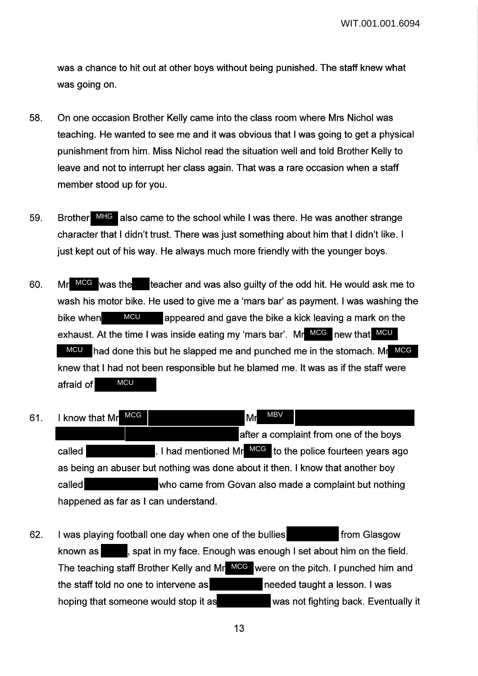was a chance to hit out at other boys without being punished. The staff knew what was going on.

- 58. On one occasion Brother Kelly came into the class room where Mrs Nichol was teaching. He wanted to see me and it was obvious that I was going to get a physical punishment from him. Miss Nichol read the situation well and told Brother Kelly to leave and not to interrupt her class again. That was a rare occasion when a staff member stood up for you.
- 59. Brother MHG also came to the school while I was there. He was another strange character that I didn't trust. There was just something about him that I didn't like. I just kept out of his way. He always much more friendly with the younger boys.
- 60. Mr MCG was the teacher and was also guilty of the odd hit. He would ask me to wash his motor bike. He used to give me a 'mars bar' as payment. I was washing the bike when **MCU** appeared and gave the bike a kick leaving a mark on the exhaust. At the time I was inside eating my 'mars bar'. Mr MCG new that MCU MCU had done this but he slapped me and punched me in the stomach. Mr MCG knew that I had not been responsible but he blamed me. It was as if the staff were afraid of **MCU MCU**
- 61. I know that Mr MCG No. 1 Mr after a complaint from one of the boys called **the called** end is a local mentioned Mr<sup>MCG</sup> to the police fourteen years ago as being an abuser but nothing was done about it then. I know that another boy called who came from Govan also made a complaint but nothing happened as far as I can understand. MCG MBV
- 62. I was playing football one day when one of the bullies from Glasgow known as  $\blacksquare$ , spat in my face. Enough was enough I set about him on the field. The teaching staff Brother Kelly and Mr MCG were on the pitch. I punched him and the staff told no one to intervene as needed taught a lesson. I was hoping that someone would stop it as was not fighting back. Eventually it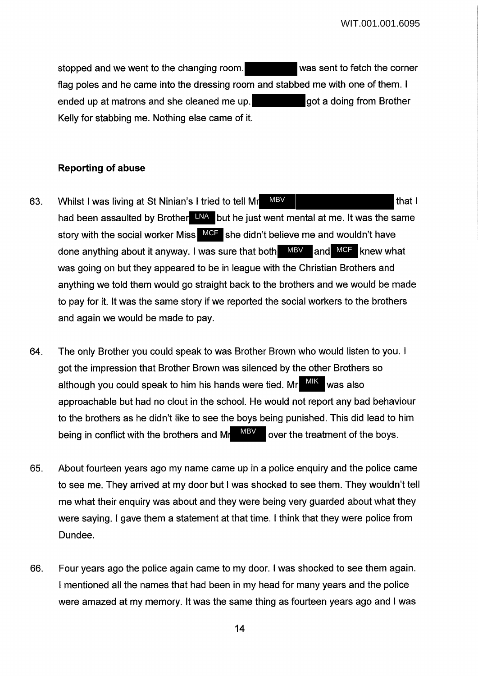stopped and we went to the changing room. Was sent to fetch the corner flag poles and he came into the dressing room and stabbed me with one of them. I ended up at matrons and she cleaned me up. got a doing from Brother Kelly for stabbing me. Nothing else came of it.

## **Reporting of abuse**

- 63. Whilst I was living at St Ninian's I tried to tell Mr MBV I had been assaulted by Brother LNA but he just went mental at me. It was the same story with the social worker Miss MCF she didn't believe me and wouldn't have done anything about it anyway. I was sure that both MBV and MCF knew what was going on but they appeared to be in league with the Christian Brothers and anything we told them would go straight back to the brothers and we would be made to pay for it. It was the same story if we reported the social workers to the brothers and again we would be made to pay. MBV
- 64. The only Brother you could speak to was Brother Brown who would listen to you. I got the impression that Brother Brown was silenced by the other Brothers so although you could speak to him his hands were tied. Mr MIK was also approachable but had no clout in the school. He would not report any bad behaviour to the brothers as he didn't like to see the boys being punished. This did lead to him being in conflict with the brothers and M<sub> $\alpha$ </sub> M<sub>BV</sub> over the treatment of the boys. MBV
- 65. About fourteen years ago my name came up in a police enquiry and the police came to see me. They arrived at my door but I was shocked to see them. They wouldn't tell me what their enquiry was about and they were being very guarded about what they were saying. I gave them a statement at that time. I think that they were police from Dundee.
- 66. Four years ago the police again came to my door. I was shocked to see them again. I mentioned all the names that had been in my head for many years and the police were amazed at my memory. It was the same thing as fourteen years ago and I was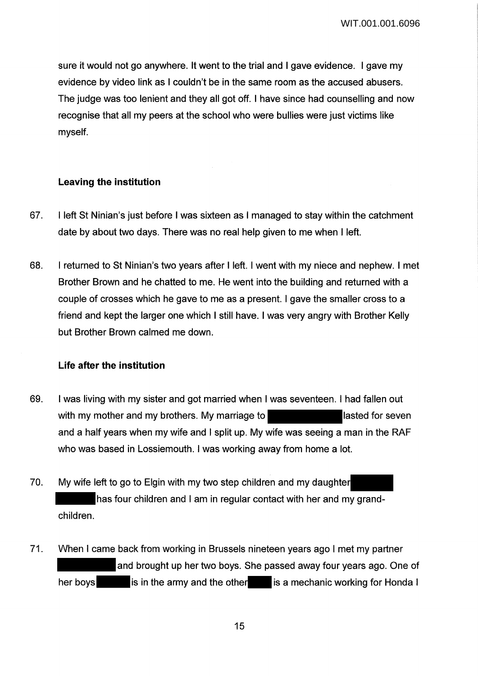sure it would not go anywhere. It went to the trial and I gave evidence. I gave my evidence by video link as I couldn't be in the same room as the accused abusers. The judge was too lenient and they all got off. I have since had counselling and now recognise that all my peers at the school who were bullies were just victims like myself.

### **Leaving the institution**

- 67. I left St Ninian's just before I was sixteen as I managed to stay within the catchment date by about two days. There was no real help given to me when I left.
- 68. I returned to St Ninian's two years after I left. I went with my niece and nephew. I met Brother Brown and he chatted to me. He went into the building and returned with a couple of crosses which he gave to me as a present. I gave the smaller cross to a friend and kept the larger one which I still have. I was very angry with Brother Kelly but Brother Brown calmed me down.

### **Life after the institution**

- 69. I was living with my sister and got married when I was seventeen. I had fallen out with my mother and my brothers. My marriage to lasted for seven and a half years when my wife and I split up. My wife was seeing a man in the RAF who was based in Lossiemouth. I was working away from home a lot.
- 70. My wife left to go to Elgin with my two step children and my daughter has four children and I am in regular contact with her and my grandchildren.
- 71. When I came back from working in Brussels nineteen years ago I met my partner and brought up her two boys. She passed away four years ago. One of her boys is in the army and the other is a mechanic working for Honda I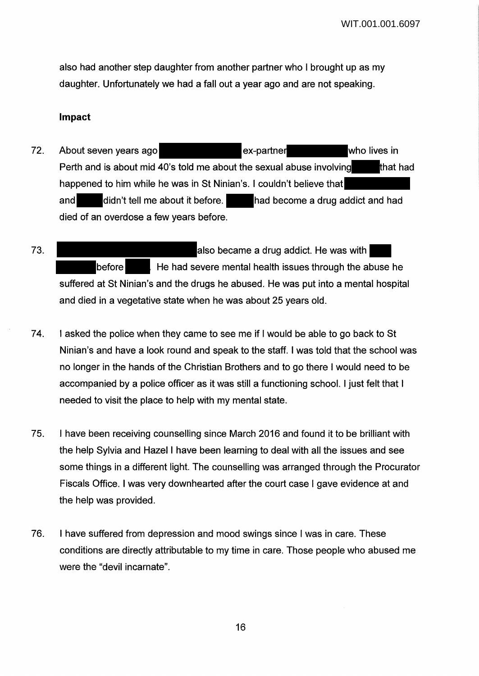also had another step daughter from another partner who I brought up as my daughter. Unfortunately we had a fall out a year ago and are not speaking.

#### **Impact**

- 72. About seven years ago **the set of the sex-partner** who lives in Perth and is about mid 40's told me about the sexual abuse involving that had happened to him while he was in St Ninian's. I couldn't believe that and didn't tell me about it before. had become a drug addict and had died of an overdose a few years before.
- 73. **Also became a drug addict. He was with** before **He had severe mental health issues through the abuse he** suffered at St Ninian's and the drugs he abused. He was put into a mental hospital and died in a vegetative state when he was about 25 years old.
- 74. I asked the police when they came to see me if I would be able to go back to St Ninian's and have a look round and speak to the staff. I was told that the school was no longer in the hands of the Christian Brothers and to go there I would need to be accompanied by a police officer as it was still a functioning school. I just felt that I needed to visit the place to help with my mental state.
- 75. I have been receiving counselling since March 2016 and found it to be brilliant with the help Sylvia and Hazel I have been learning to deal with all the issues and see some things in a different light. The counselling was arranged through the Procurator Fiscals Office. I was very downhearted after the court case I gave evidence at and the help was provided.
- 76. I have suffered from depression and mood swings since I was in care. These conditions are directly attributable to my time in care. Those people who abused me were the "devil incarnate".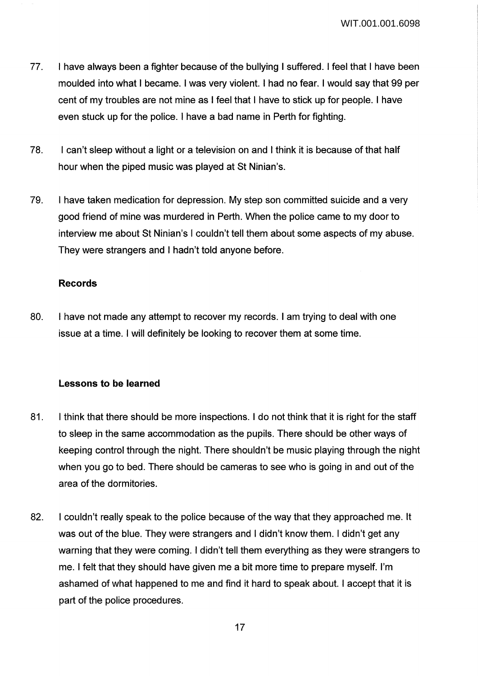WIT.001.001.6098

- 77. I have always been a fighter because of the bullying I suffered. I feel that I have been moulded into what I became. I was very violent. I had no fear. I would say that 99 per cent of my troubles are not mine as I feel that I have to stick up for people. I have even stuck up for the police. I have a bad name in Perth for fighting.
- 78. I can't sleep without a light or a television on and I think it is because of that half hour when the piped music was played at St Ninian's.
- 79. I have taken medication for depression. My step son committed suicide and a very good friend of mine was murdered in Perth. When the police came to my door to interview me about St Ninian's I couldn't tell them about some aspects of my abuse. They were strangers and I hadn't told anyone before.

## **Records**

80. I have not made any attempt to recover my records. I am trying to deal with one issue at a time. I will definitely be looking to recover them at some time.

# **Lessons to be learned**

- 81. I think that there should be more inspections. I do not think that it is right for the staff to sleep in the same accommodation as the pupils. There should be other ways of keeping control through the night. There shouldn't be music playing through the night when you go to bed. There should be cameras to see who is going in and out of the area of the dormitories.
- 82. I couldn't really speak to the police because of the way that they approached me. It was out of the blue. They were strangers and I didn't know them. I didn't get any warning that they were coming. I didn't tell them everything as they were strangers to me. I felt that they should have given me a bit more time to prepare myself. I'm ashamed of what happened to me and find it hard to speak about. I accept that it is part of the police procedures.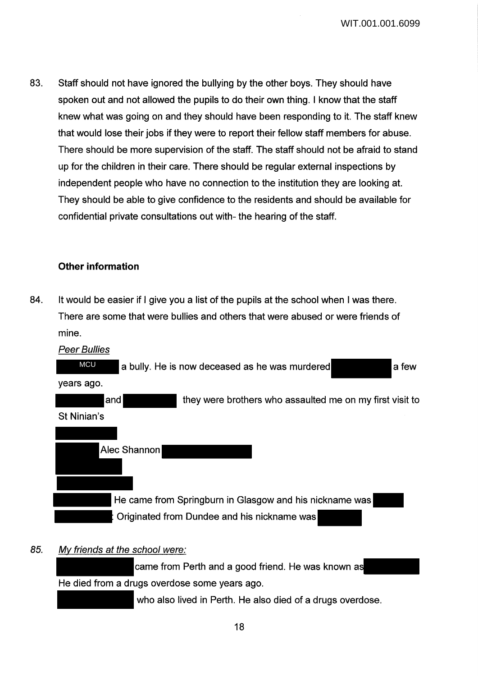WIT.001.001.6099

83. Staff should not have ignored the bullying by the other boys. They should have spoken out and not allowed the pupils to do their own thing. I know that the staff knew what was going on and they should have been responding to it. The staff knew that would lose their jobs if they were to report their fellow staff members for abuse. There should be more supervision of the staff. The staff should not be afraid to stand up for the children in their care. There should be regular external inspections by independent people who have no connection to the institution they are looking at. They should be able to give confidence to the residents and should be available for confidential private consultations out with- the hearing of the staff.

## **Other information**

84. It would be easier if I give you a list of the pupils at the school when I was there. There are some that were bullies and others that were abused or were friends of mine.



## 85. Mv friends at the school were:

came from Perth and a good friend. He was known as He died from a drugs overdose some years ago.

who also lived in Perth. He also died of a drugs overdose.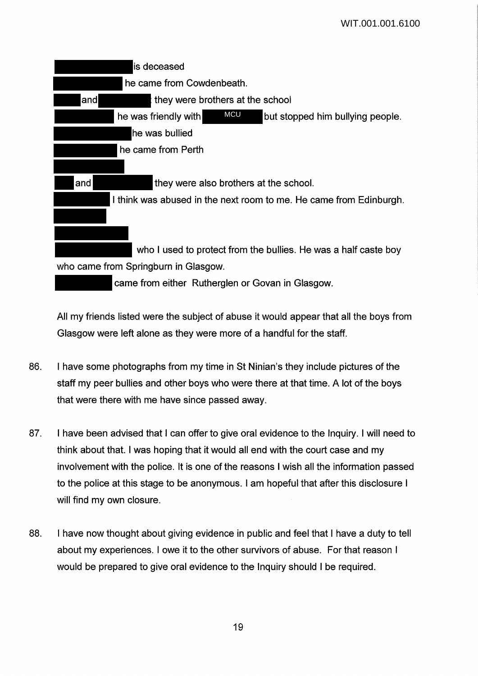

All my friends listed were the subject of abuse it would appear that all the boys from Glasgow were left alone as they were more of a handful for the staff.

- 86. I have some photographs from my time in St Ninian's they include pictures of the staff my peer bullies and other boys who were there at that time. A lot of the boys that were there with me have since passed away.
- 87. I have been advised that I can offer to give oral evidence to the Inquiry. I will need to think about that. I was hoping that it would all end with the court case and my involvement with the police. It is one of the reasons I wish all the information passed to the police at this stage to be anonymous. I am hopeful that after this disclosure I will find my own closure.
- 88. I have now thought about giving evidence in public and feel that I have a duty to tell about my experiences. I owe it to the other survivors of abuse. For that reason I would be prepared to give oral evidence to the Inquiry should I be required.